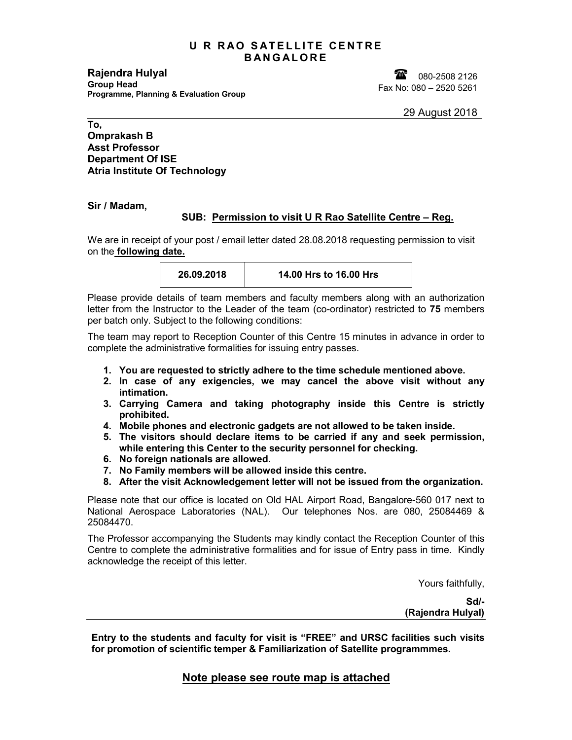## **U R RAO SATELLITE CENTRE B A N G A L O R E**

**Rajendra Hulyal Group Head Programme, Planning & Evaluation Group**

180-2508 2126 Fax No: 080 – 2520 5261

## **To, Omprakash B Asst Professor Department Of ISE Atria Institute Of Technology**

**Sir / Madam,**

## **SUB: Permission to visit U R Rao Satellite Centre – Reg.**

We are in receipt of your post / email letter dated 28.08.2018 requesting permission to visit on the **following date.**

| 26.09.2018 | 14.00 Hrs to 16.00 Hrs |
|------------|------------------------|
|------------|------------------------|

Please provide details of team members and faculty members along with an authorization letter from the Instructor to the Leader of the team (co-ordinator) restricted to **75** members per batch only. Subject to the following conditions:

The team may report to Reception Counter of this Centre 15 minutes in advance in order to complete the administrative formalities for issuing entry passes.

- **1. You are requested to strictly adhere to the time schedule mentioned above.**
- **2. In case of any exigencies, we may cancel the above visit without any intimation.**
- **3. Carrying Camera and taking photography inside this Centre is strictly prohibited.**
- **4. Mobile phones and electronic gadgets are not allowed to be taken inside.**
- **5. The visitors should declare items to be carried if any and seek permission, while entering this Center to the security personnel for checking.**
- **6. No foreign nationals are allowed.**
- **7. No Family members will be allowed inside this centre.**
- **8. After the visit Acknowledgement letter will not be issued from the organization.**

Please note that our office is located on Old HAL Airport Road, Bangalore-560 017 next to National Aerospace Laboratories (NAL). Our telephones Nos. are 080, 25084469 & 25084470.

The Professor accompanying the Students may kindly contact the Reception Counter of this Centre to complete the administrative formalities and for issue of Entry pass in time. Kindly acknowledge the receipt of this letter.

Yours faithfully,

**Sd/- (Rajendra Hulyal)**

**Entry to the students and faculty for visit is "FREE" and URSC facilities such visits for promotion of scientific temper & Familiarization of Satellite programmmes.**

**Note please see route map is attached**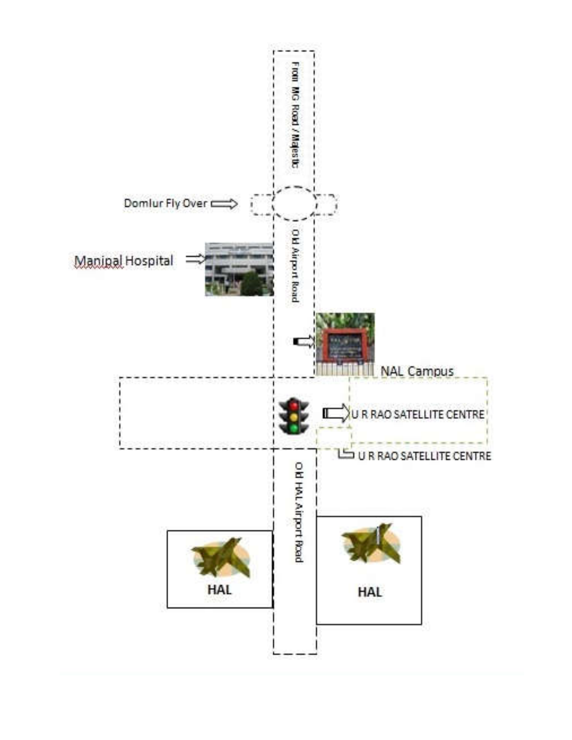